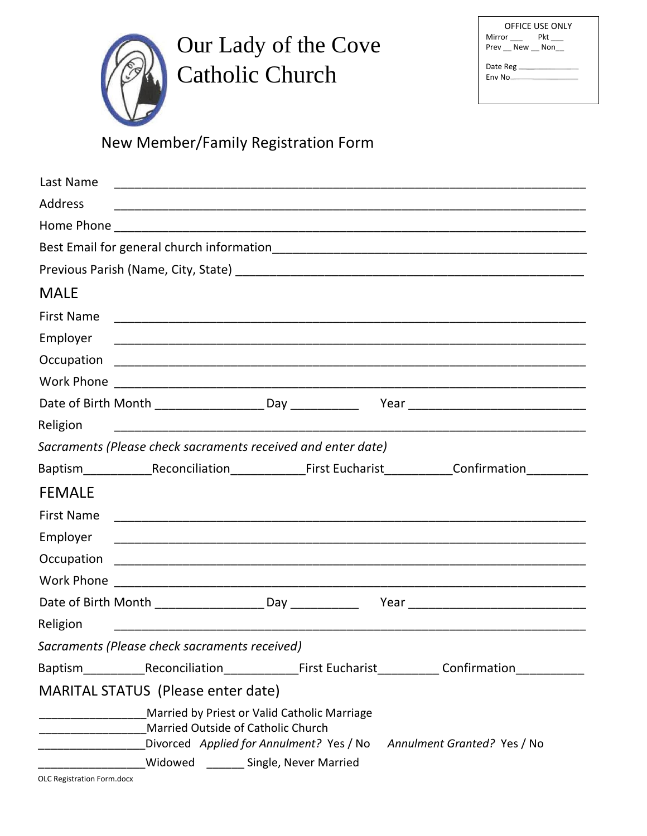Our Lady of the Cove Catholic Church

| OFFICE USE ONLY |  |  |  |  |  |  |  |
|-----------------|--|--|--|--|--|--|--|
| Pkt<br>Mirror   |  |  |  |  |  |  |  |
| Prev New Non    |  |  |  |  |  |  |  |
| Date Reg        |  |  |  |  |  |  |  |
| Fny No          |  |  |  |  |  |  |  |
|                 |  |  |  |  |  |  |  |

New Member/FamiIy Registration Form

| Last Name<br><u> 1980 - Jan James James James James James James James James James James James James James James James James J</u> |  |  |  |  |  |  |  |  |  |
|-----------------------------------------------------------------------------------------------------------------------------------|--|--|--|--|--|--|--|--|--|
| Address                                                                                                                           |  |  |  |  |  |  |  |  |  |
|                                                                                                                                   |  |  |  |  |  |  |  |  |  |
|                                                                                                                                   |  |  |  |  |  |  |  |  |  |
|                                                                                                                                   |  |  |  |  |  |  |  |  |  |
| <b>MALE</b>                                                                                                                       |  |  |  |  |  |  |  |  |  |
| <b>First Name</b>                                                                                                                 |  |  |  |  |  |  |  |  |  |
| Employer                                                                                                                          |  |  |  |  |  |  |  |  |  |
|                                                                                                                                   |  |  |  |  |  |  |  |  |  |
|                                                                                                                                   |  |  |  |  |  |  |  |  |  |
|                                                                                                                                   |  |  |  |  |  |  |  |  |  |
| Religion                                                                                                                          |  |  |  |  |  |  |  |  |  |
| Sacraments (Please check sacraments received and enter date)                                                                      |  |  |  |  |  |  |  |  |  |
| Baptism Reconciliation First Eucharist Confirmation                                                                               |  |  |  |  |  |  |  |  |  |
| <b>FEMALE</b>                                                                                                                     |  |  |  |  |  |  |  |  |  |
| <b>First Name</b>                                                                                                                 |  |  |  |  |  |  |  |  |  |
| Employer                                                                                                                          |  |  |  |  |  |  |  |  |  |
|                                                                                                                                   |  |  |  |  |  |  |  |  |  |
| Work Phone                                                                                                                        |  |  |  |  |  |  |  |  |  |
|                                                                                                                                   |  |  |  |  |  |  |  |  |  |
| Religion                                                                                                                          |  |  |  |  |  |  |  |  |  |
| Sacraments (Please check sacraments received)                                                                                     |  |  |  |  |  |  |  |  |  |
| Baptism_____________Reconciliation_________________First Eucharist_____________Confirmation__                                     |  |  |  |  |  |  |  |  |  |
| <b>MARITAL STATUS (Please enter date)</b>                                                                                         |  |  |  |  |  |  |  |  |  |
| Married by Priest or Valid Catholic Marriage                                                                                      |  |  |  |  |  |  |  |  |  |
| Married Outside of Catholic Church<br>Divorced Applied for Annulment? Yes / No<br>Annulment Granted? Yes / No                     |  |  |  |  |  |  |  |  |  |
| Widowed _______ Single, Never Married                                                                                             |  |  |  |  |  |  |  |  |  |
| OLC Registration Form.docx                                                                                                        |  |  |  |  |  |  |  |  |  |